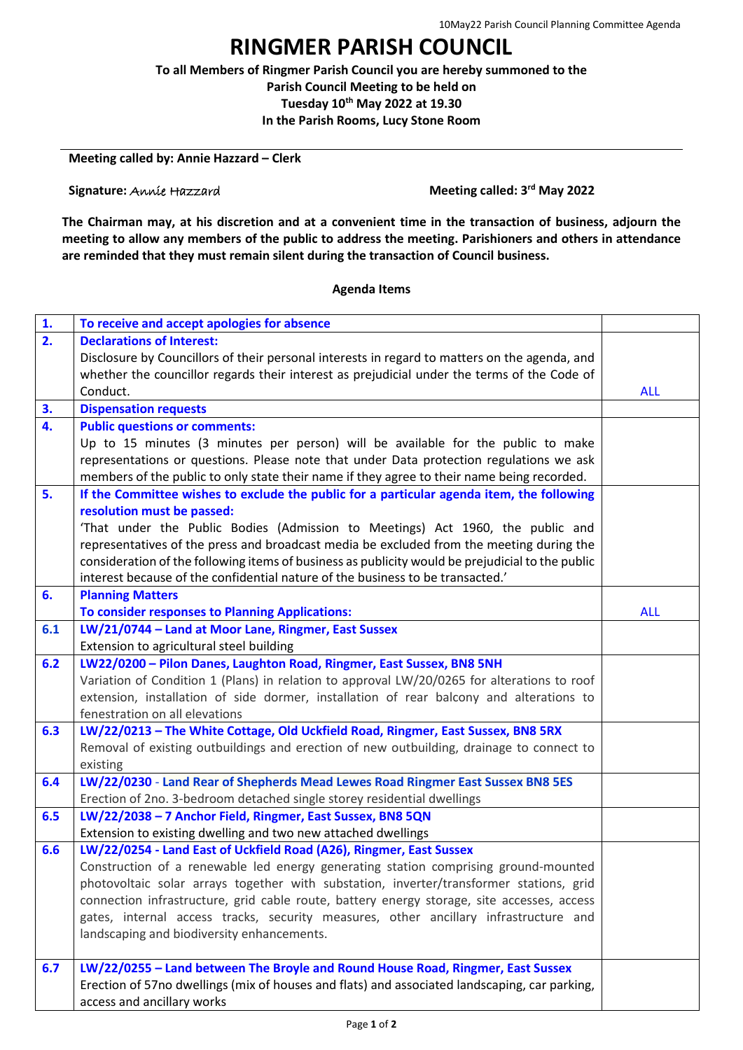## **RINGMER PARISH COUNCIL**

**To all Members of Ringmer Parish Council you are hereby summoned to the Parish Council Meeting to be held on**

**Tuesday 10th May 2022 at 19.30**

**In the Parish Rooms, Lucy Stone Room**

**Meeting called by: Annie Hazzard – Clerk**

**Signature:** Annie Hazzard

**Meeting called: 3<sup>rd</sup> May 2022** 

**The Chairman may, at his discretion and at a convenient time in the transaction of business, adjourn the meeting to allow any members of the public to address the meeting. Parishioners and others in attendance are reminded that they must remain silent during the transaction of Council business.**

## **Agenda Items**

| 1.               | To receive and accept apologies for absence                                                      |            |
|------------------|--------------------------------------------------------------------------------------------------|------------|
| 2.               | <b>Declarations of Interest:</b>                                                                 |            |
|                  | Disclosure by Councillors of their personal interests in regard to matters on the agenda, and    |            |
|                  | whether the councillor regards their interest as prejudicial under the terms of the Code of      |            |
|                  | Conduct.                                                                                         | <b>ALL</b> |
| 3.               | <b>Dispensation requests</b>                                                                     |            |
| $\overline{4}$ . | <b>Public questions or comments:</b>                                                             |            |
|                  | Up to 15 minutes (3 minutes per person) will be available for the public to make                 |            |
|                  | representations or questions. Please note that under Data protection regulations we ask          |            |
|                  | members of the public to only state their name if they agree to their name being recorded.       |            |
| 5.               | If the Committee wishes to exclude the public for a particular agenda item, the following        |            |
|                  | resolution must be passed:                                                                       |            |
|                  | 'That under the Public Bodies (Admission to Meetings) Act 1960, the public and                   |            |
|                  | representatives of the press and broadcast media be excluded from the meeting during the         |            |
|                  | consideration of the following items of business as publicity would be prejudicial to the public |            |
|                  | interest because of the confidential nature of the business to be transacted.'                   |            |
| 6.               | <b>Planning Matters</b>                                                                          |            |
|                  | <b>To consider responses to Planning Applications:</b>                                           | <b>ALL</b> |
| 6.1              | LW/21/0744 - Land at Moor Lane, Ringmer, East Sussex                                             |            |
|                  | Extension to agricultural steel building                                                         |            |
| 6.2              | LW22/0200 - Pilon Danes, Laughton Road, Ringmer, East Sussex, BN8 5NH                            |            |
|                  | Variation of Condition 1 (Plans) in relation to approval LW/20/0265 for alterations to roof      |            |
|                  | extension, installation of side dormer, installation of rear balcony and alterations to          |            |
|                  | fenestration on all elevations                                                                   |            |
| 6.3              | LW/22/0213 - The White Cottage, Old Uckfield Road, Ringmer, East Sussex, BN8 5RX                 |            |
|                  | Removal of existing outbuildings and erection of new outbuilding, drainage to connect to         |            |
|                  | existing                                                                                         |            |
| 6.4              | LW/22/0230 - Land Rear of Shepherds Mead Lewes Road Ringmer East Sussex BN8 5ES                  |            |
|                  | Erection of 2no. 3-bedroom detached single storey residential dwellings                          |            |
| 6.5              | LW/22/2038 - 7 Anchor Field, Ringmer, East Sussex, BN8 5QN                                       |            |
|                  | Extension to existing dwelling and two new attached dwellings                                    |            |
| 6.6              | LW/22/0254 - Land East of Uckfield Road (A26), Ringmer, East Sussex                              |            |
|                  | Construction of a renewable led energy generating station comprising ground-mounted              |            |
|                  | photovoltaic solar arrays together with substation, inverter/transformer stations, grid          |            |
|                  | connection infrastructure, grid cable route, battery energy storage, site accesses, access       |            |
|                  | gates, internal access tracks, security measures, other ancillary infrastructure and             |            |
|                  | landscaping and biodiversity enhancements.                                                       |            |
| 6.7              | LW/22/0255 - Land between The Broyle and Round House Road, Ringmer, East Sussex                  |            |
|                  | Erection of 57no dwellings (mix of houses and flats) and associated landscaping, car parking,    |            |
|                  | access and ancillary works                                                                       |            |